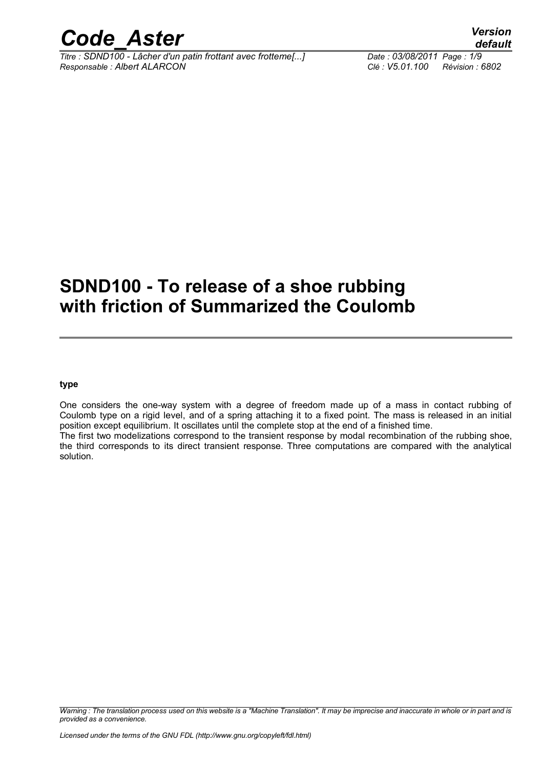

*Titre : SDND100 - Lâcher d'un patin frottant avec frotteme[...] Date : 03/08/2011 Page : 1/9 Responsable : Albert ALARCON Clé : V5.01.100 Révision : 6802*

### **SDND100 - To release of a shoe rubbing with friction of Summarized the Coulomb**

#### **type**

One considers the one-way system with a degree of freedom made up of a mass in contact rubbing of Coulomb type on a rigid level, and of a spring attaching it to a fixed point. The mass is released in an initial position except equilibrium. It oscillates until the complete stop at the end of a finished time. The first two modelizations correspond to the transient response by modal recombination of the rubbing shoe, the third corresponds to its direct transient response. Three computations are compared with the analytical solution.

*Warning : The translation process used on this website is a "Machine Translation". It may be imprecise and inaccurate in whole or in part and is provided as a convenience.*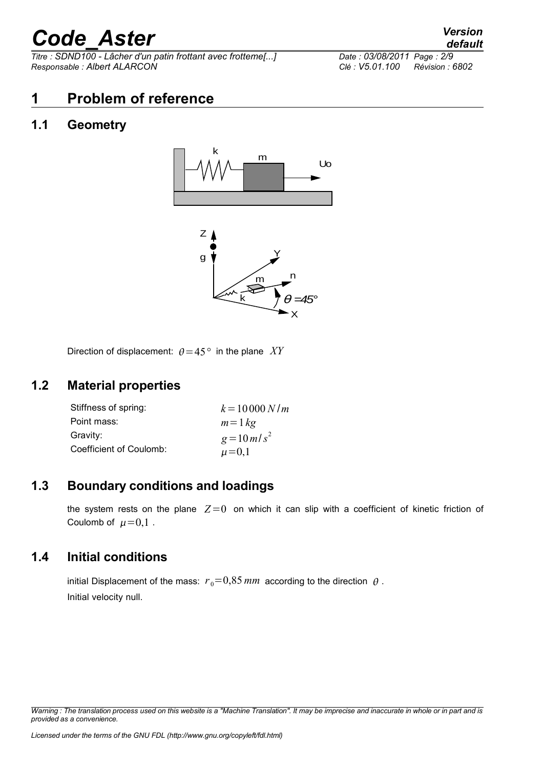*Titre : SDND100 - Lâcher d'un patin frottant avec frotteme[...] Date : 03/08/2011 Page : 2/9 Responsable : Albert ALARCON Clé : V5.01.100 Révision : 6802*

### **1 Problem of reference**

### **1.1 Geometry**



Direction of displacement:  $\theta = 45^\circ$  in the plane *XY* 

### **1.2 Material properties**

Stiffness of spring: *k*=10000 *N* /*m* Point mass: *m*=1*kg* Gravity:  $g = 10 m/s^2$ Coefficient of Coulomb:  $\mu=0,1$ 

### **1.3 Boundary conditions and loadings**

the system rests on the plane  $Z=0$  on which it can slip with a coefficient of kinetic friction of Coulomb of  $\mu=0,1$ .

### **1.4 Initial conditions**

initial Displacement of the mass:  $r_0=0.85$  *mm* according to the direction  $\theta$ . Initial velocity null.

*default*

*Warning : The translation process used on this website is a "Machine Translation". It may be imprecise and inaccurate in whole or in part and is provided as a convenience.*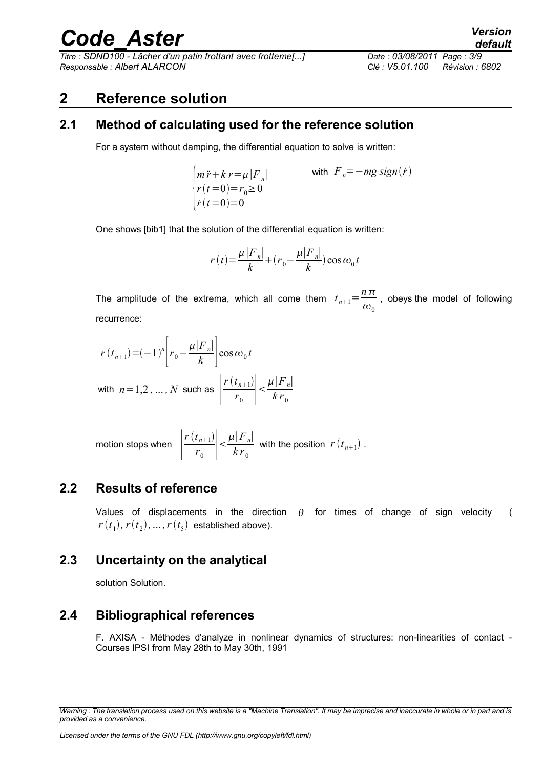*Titre : SDND100 - Lâcher d'un patin frottant avec frotteme[...] Date : 03/08/2011 Page : 3/9 Responsable : Albert ALARCON Clé : V5.01.100 Révision : 6802*

### **2 Reference solution**

### **2.1 Method of calculating used for the reference solution**

For a system without damping, the differential equation to solve is written:

$$
\begin{cases}\nm\ddot{r} + k\,r = \mu \left|F_n\right| & \text{with } F_n = -mg\,\text{sign}(\dot{r}) \\
r(t=0) = r_0 \ge 0 \\
\dot{r}(t=0) = 0\n\end{cases}
$$

One shows [bib1] that the solution of the differential equation is written:

$$
r(t) = \frac{\mu |F_n|}{k} + (r_0 - \frac{\mu |F_n|}{k}) \cos \omega_0 t
$$

The amplitude of the extrema, which all come them  $t_{n+1} = \frac{n\pi}{n}$  $\frac{\partial}{\partial \omega_0}$ , obeys the model of following recurrence:

$$
r(t_{n+1}) = (-1)^n \left[ r_0 - \frac{\mu |F_n|}{k} \right] \cos \omega_0 t
$$
  
with  $n = 1, 2, ..., N$  such as  $\left| \frac{r(t_{n+1})}{r_0} \right| < \frac{\mu |F_n|}{k r_0}$ 

motion stops when  $|−$  $r(t_{n+1})$  $\left| \frac{f_{n+1}}{r_0} \right| < \frac{\mu |F_n|}{k r_0}$  $kr_{0}$ with the position  $r(t_{n+1})$ .

### **2.2 Results of reference**

Values of displacements in the direction  $\theta$  for times of change of sign velocity (  $r(t_1)$ ,  $r(t_2)$ , ...,  $r(t_5)$  established above).

### **2.3 Uncertainty on the analytical**

solution Solution.

### **2.4 Bibliographical references**

F. AXISA - Méthodes d'analyze in nonlinear dynamics of structures: non-linearities of contact - Courses IPSI from May 28th to May 30th, 1991

*Warning : The translation process used on this website is a "Machine Translation". It may be imprecise and inaccurate in whole or in part and is provided as a convenience.*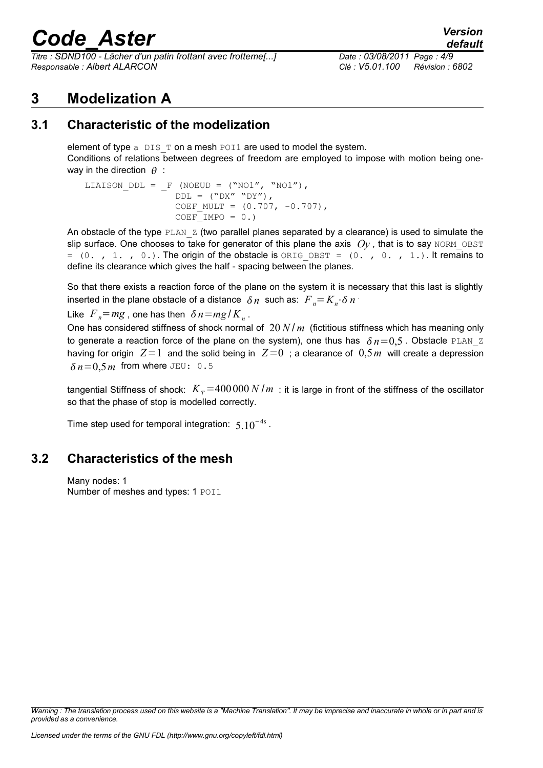*Titre : SDND100 - Lâcher d'un patin frottant avec frotteme[...] Date : 03/08/2011 Page : 4/9 Responsable : Albert ALARCON Clé : V5.01.100 Révision : 6802*

### **3 Modelization A**

### **3.1 Characteristic of the modelization**

element of type a DIS T on a mesh POI1 are used to model the system. Conditions of relations between degrees of freedom are employed to impose with motion being oneway in the direction  $\theta$ :

LIAISON DDL =  $F$  (NOEUD = ("NO1", "NO1"),  $DDL = (``DX'' "DY'')$ , COEF MULT =  $(0.707, -0.707)$ , COEF IMPO =  $0.$ )

An obstacle of the type  $PLAN_Z$  (two parallel planes separated by a clearance) is used to simulate the slip surface. One chooses to take for generator of this plane the axis  $Ov$ , that is to say NORM\_OBST  $= (0, 1, 1, 0)$ . The origin of the obstacle is ORIG OBST =  $(0, 0, 1, 1)$ . It remains to define its clearance which gives the half - spacing between the planes.

So that there exists a reaction force of the plane on the system it is necessary that this last is slightly inserted in the plane obstacle of a distance  $|\delta n|$  such as:  $F_n = K_n \cdot \delta n$ 

Like  $F_n = mg$  , one has then  $\delta n = mg/K_n$ .

One has considered stiffness of shock normal of 20 *N* / *m* (fictitious stiffness which has meaning only to generate a reaction force of the plane on the system), one thus has  $\delta n=0.5$ . Obstacle PLAN Z having for origin  $Z=1$  and the solid being in  $Z=0$ ; a clearance of  $0.5m$  will create a depression  $\delta n = 0.5$ *m* from where JEU: 0.5

tangential Stiffness of shock:  $K<sub>T</sub> = 400 000 N/m$  : it is large in front of the stiffness of the oscillator so that the phase of stop is modelled correctly.

Time step used for temporal integration:  $5.10^{-4s}$ .

### **3.2 Characteristics of the mesh**

Many nodes: 1 Number of meshes and types: 1 POI1

*Warning : The translation process used on this website is a "Machine Translation". It may be imprecise and inaccurate in whole or in part and is provided as a convenience.*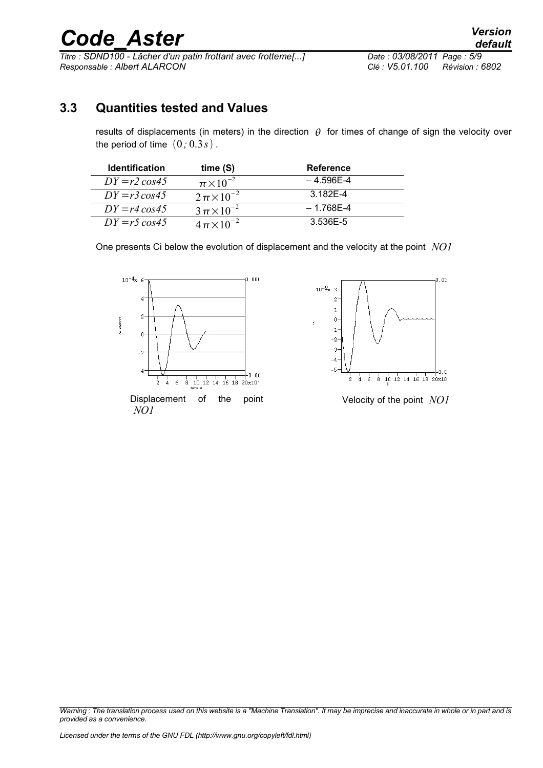*Titre : SDND100 - Lâcher d'un patin frottant avec frotteme[...] Date : 03/08/2011 Page : 5/9 Responsable : Albert ALARCON Clé : V5.01.100 Révision : 6802*

### **3.3 Quantities tested and Values**

results of displacements (in meters) in the direction  $\theta$  for times of change of sign the velocity over the period of time  $(0, 0.3s)$ .

| <b>Identification</b> | time(S)                 | <b>Reference</b> |
|-----------------------|-------------------------|------------------|
| $DY = r2 cos 45$      | $\pi$ ×10 <sup>-2</sup> | – 4.596E-4       |
| $DY = r3 cos 45$      | $2\pi\times10^{-2}$     | 3.182E-4         |
| $DY = r4 \cos 45$     | $3\pi\times10^{-2}$     | $-1.768F-4$      |
| $DY = r5 cos 45$      | $4\pi \times 10^{-2}$   | 3.536E-5         |

One presents Ci below the evolution of displacement and the velocity at the point *NO1*





Displacement of the point *NO1*

Velocity of the point *NO1*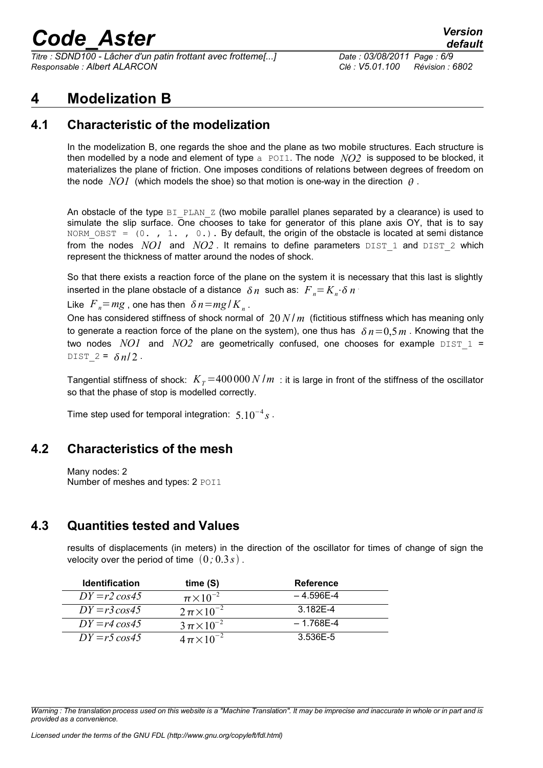*Titre : SDND100 - Lâcher d'un patin frottant avec frotteme[...] Date : 03/08/2011 Page : 6/9 Responsable : Albert ALARCON Clé : V5.01.100 Révision : 6802*

### **4 Modelization B**

### **4.1 Characteristic of the modelization**

In the modelization B, one regards the shoe and the plane as two mobile structures. Each structure is then modelled by a node and element of type a POI1. The node *NO2* is supposed to be blocked, it materializes the plane of friction. One imposes conditions of relations between degrees of freedom on the node *NO1* (which models the shoe) so that motion is one-way in the direction  $\theta$ .

An obstacle of the type  $BI$   $PLAN$   $Z$  (two mobile parallel planes separated by a clearance) is used to simulate the slip surface. One chooses to take for generator of this plane axis OY, that is to say NORM OBST =  $(0. , 1. , 0.)$ . By default, the origin of the obstacle is located at semi distance from the nodes *NO1* and *NO2*. It remains to define parameters DIST 1 and DIST<sub>1</sub>2 which represent the thickness of matter around the nodes of shock.

So that there exists a reaction force of the plane on the system it is necessary that this last is slightly inserted in the plane obstacle of a distance  $|\delta n|$  such as:  $F_n = K_n \cdot \delta n$  :

Like  $F_n = mg$  , one has then  $\delta n = mg/K_n$ .

One has considered stiffness of shock normal of 20 *N* / *m* (fictitious stiffness which has meaning only to generate a reaction force of the plane on the system), one thus has  $\delta n = 0.5 m$ . Knowing that the two nodes  $NOI$  and  $NO2$  are geometrically confused, one chooses for example DIST  $1 =$ DIST  $2 = \delta n/2$ .

Tangential stiffness of shock:  $K_T = 400000 N/m$ : it is large in front of the stiffness of the oscillator so that the phase of stop is modelled correctly.

Time step used for temporal integration: 5.10<sup>−</sup><sup>4</sup> *s* .

### **4.2 Characteristics of the mesh**

Many nodes: 2 Number of meshes and types: 2 POI1

### **4.3 Quantities tested and Values**

results of displacements (in meters) in the direction of the oscillator for times of change of sign the velocity over the period of time  $(0:0.3s)$ .

| <b>Identification</b> | time(S)                 | <b>Reference</b> |
|-----------------------|-------------------------|------------------|
| $DY = r2 cos 45$      | $\pi$ ×10 <sup>-2</sup> | $-4.596E-4$      |
| $DY = r3 \cos 45$     | $2\pi\times10^{-2}$     | 3.182E-4         |
| $DY = r4 \cos 45$     | $3 \pi \times 10^{-2}$  | – 1.768E-4       |
| $DY = r5 cos 45$      | $4\pi \times 10^{-2}$   | 3.536E-5         |

*Warning : The translation process used on this website is a "Machine Translation". It may be imprecise and inaccurate in whole or in part and is provided as a convenience.*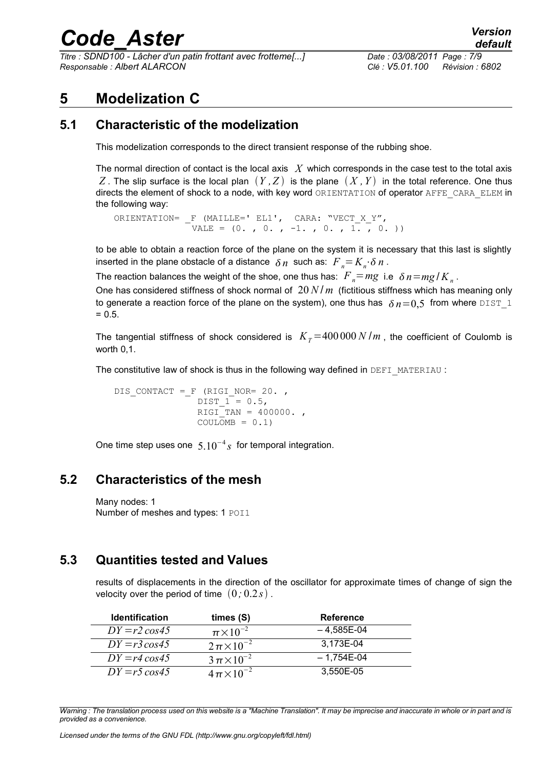*Titre : SDND100 - Lâcher d'un patin frottant avec frotteme[...] Date : 03/08/2011 Page : 7/9 Responsable : Albert ALARCON Clé : V5.01.100 Révision : 6802*

### **5 Modelization C**

### **5.1 Characteristic of the modelization**

This modelization corresponds to the direct transient response of the rubbing shoe.

The normal direction of contact is the local axis *X* which corresponds in the case test to the total axis *Z* . The slip surface is the local plan  $(Y, Z)$  is the plane  $(X, Y)$  in the total reference. One thus directs the element of shock to a node, with key word ORIENTATION of operator AFFE\_CARA\_ELEM in the following way:

ORIENTATION= \_F (MAILLE=' EL1', CARA: "VECT\_X\_Y", VALE =  $(0. , 0. , -1. , 0. , 1. , 0.$ 

to be able to obtain a reaction force of the plane on the system it is necessary that this last is slightly inserted in the plane obstacle of a distance  $\delta n$  such as:  $F_n = K_n \cdot \delta n$ .

The reaction balances the weight of the shoe, one thus has:  $\overline{F}_n$ = $mg$  i.e  $\delta n$ = $mg/K_n$ .

One has considered stiffness of shock normal of 20 *N* / *m* (fictitious stiffness which has meaning only to generate a reaction force of the plane on the system), one thus has  $\delta n = 0.5$  from where DIST 1  $= 0.5.$ 

The tangential stiffness of shock considered is  $K<sub>T</sub> = 400000 N/m$ , the coefficient of Coulomb is worth 0,1.

The constitutive law of shock is thus in the following way defined in DEFI\_MATERIAU :

DIS CONTACT = F (RIGI NOR= 20. , DIST  $1 = 0.5$ , RIGI TAN =  $400000$ .  $COULOMB = 0.1$ 

One time step uses one 5.10<sup>−</sup><sup>4</sup> *s* for temporal integration.

### **5.2 Characteristics of the mesh**

Many nodes: 1 Number of meshes and types: 1 POI1

### **5.3 Quantities tested and Values**

results of displacements in the direction of the oscillator for approximate times of change of sign the velocity over the period of time  $(0, 0.2s)$ .

| <b>Identification</b> | times $(S)$             | <b>Reference</b> |
|-----------------------|-------------------------|------------------|
| $DY = r2 \cos 45$     | $\pi$ ×10 <sup>-2</sup> | – 4.585E-04      |
| $DY = r3 cos 45$      | $2\pi\times10^{-2}$     | 3.173E-04        |
| $DY = r4 \cos 45$     | $3 \pi \times 10^{-2}$  | – 1.754E-04      |
| $DY = r5 cos45$       | $4\pi\times10^{-2}$     | 3.550E-05        |

*Warning : The translation process used on this website is a "Machine Translation". It may be imprecise and inaccurate in whole or in part and is provided as a convenience.*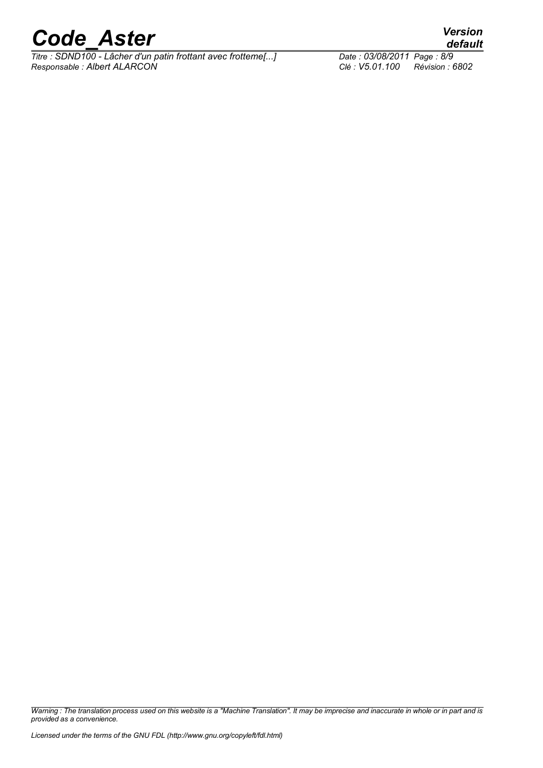*Titre : SDND100 - Lâcher d'un patin frottant avec frotteme[...] Date : 03/08/2011 Page : 8/9 Responsable : Albert ALARCON Clé : V5.01.100 Révision : 6802*

*default*

*Warning : The translation process used on this website is a "Machine Translation". It may be imprecise and inaccurate in whole or in part and is provided as a convenience.*